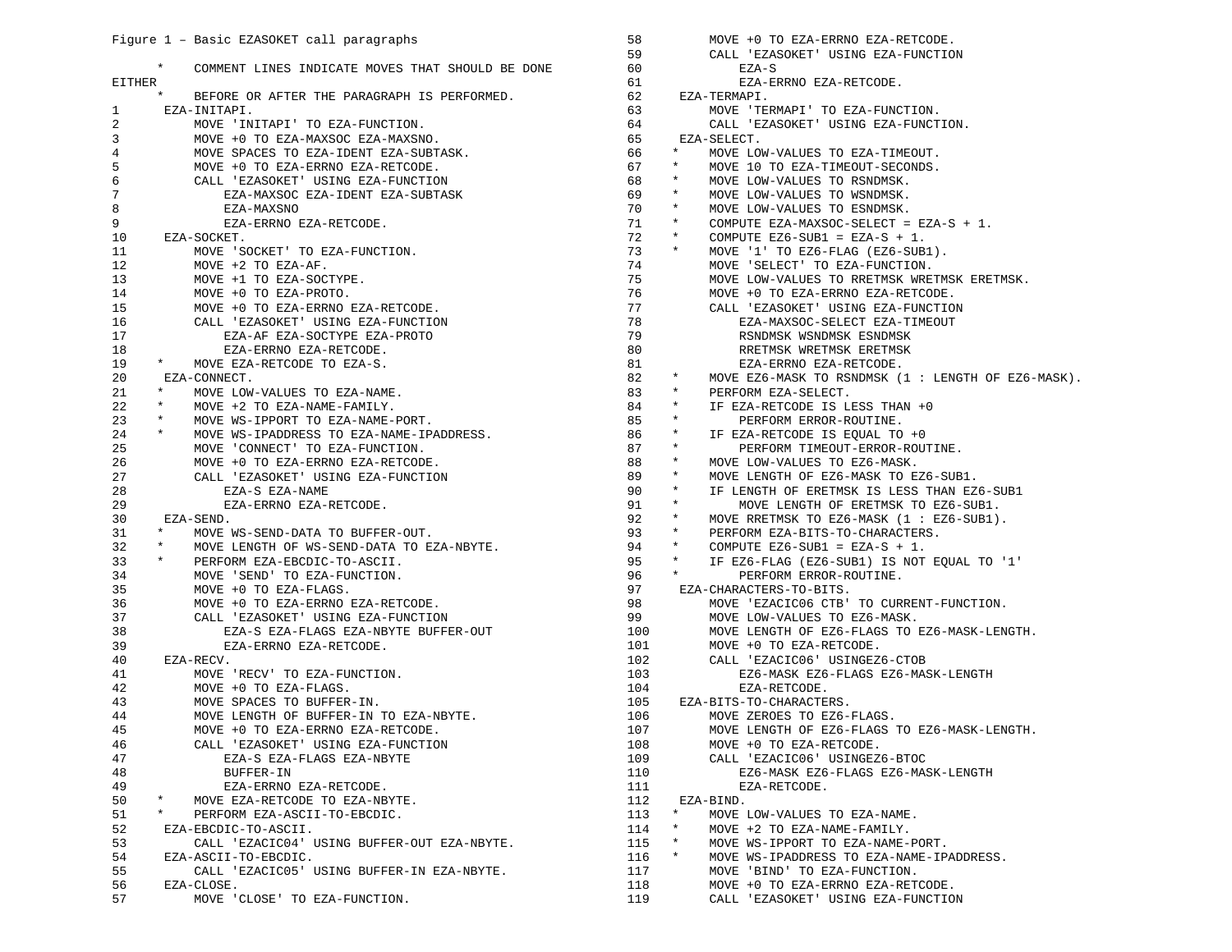|                | Figure 1 - Basic EZASOKET call paragraphs                  | 58  | MOVE +0 TO EZA-ERRNO EZA-RETCODE.                      |
|----------------|------------------------------------------------------------|-----|--------------------------------------------------------|
|                |                                                            | 59  | CALL 'EZASOKET' USING EZA-FUNCTION                     |
|                | $\ast$<br>COMMENT LINES INDICATE MOVES THAT SHOULD BE DONE | 60  | EZA-S                                                  |
| <b>EITHER</b>  |                                                            | 61  | EZA-ERRNO EZA-RETCODE.                                 |
|                | $\star$<br>BEFORE OR AFTER THE PARAGRAPH IS PERFORMED.     | 62  | EZA-TERMAPI.                                           |
| 1              | EZA-INITAPI.                                               | 63  | MOVE 'TERMAPI' TO EZA-FUNCTION.                        |
| $\overline{2}$ | MOVE 'INITAPI' TO EZA-FUNCTION.                            | 64  | CALL 'EZASOKET' USING EZA-FUNCTION.                    |
| 3              | MOVE +0 TO EZA-MAXSOC EZA-MAXSNO.                          | 65  | EZA-SELECT.                                            |
| $\overline{4}$ | MOVE SPACES TO EZA-IDENT EZA-SUBTASK.                      | 66  | $\star$<br>MOVE LOW-VALUES TO EZA-TIMEOUT.             |
| 5              | MOVE +0 TO EZA-ERRNO EZA-RETCODE.                          | 67  | $\star$<br>MOVE 10 TO EZA-TIMEOUT-SECONDS.             |
| $\epsilon$     | CALL 'EZASOKET' USING EZA-FUNCTION                         | 68  | $\star$<br>MOVE LOW-VALUES TO RSNDMSK.                 |
| $\overline{7}$ | EZA-MAXSOC EZA-IDENT EZA-SUBTASK                           | 69  | $\star$<br>MOVE LOW-VALUES TO WSNDMSK.                 |
| 8              | EZA-MAXSNO                                                 | 70  | $\star$<br>MOVE LOW-VALUES TO ESNDMSK.                 |
| 9              | EZA-ERRNO EZA-RETCODE.                                     | 71  | $\star$<br>COMPUTE EZA-MAXSOC-SELECT = EZA-S + 1.      |
| 10             | EZA-SOCKET.                                                | 72  | $\star$<br>COMPUTE EZ6-SUB1 = EZA-S + 1.               |
| 11             | MOVE 'SOCKET' TO EZA-FUNCTION.                             | 73  | $^\star$<br>MOVE '1' TO EZ6-FLAG (EZ6-SUB1).           |
| 12             | MOVE +2 TO EZA-AF.                                         | 74  | MOVE 'SELECT' TO EZA-FUNCTION.                         |
| 13             | MOVE +1 TO EZA-SOCTYPE.                                    | 75  | MOVE LOW-VALUES TO RRETMSK WRETMSK ERETMSK.            |
| 14             | MOVE +0 TO EZA-PROTO.                                      | 76  | MOVE +0 TO EZA-ERRNO EZA-RETCODE.                      |
| 15             | MOVE +0 TO EZA-ERRNO EZA-RETCODE.                          | 77  | CALL 'EZASOKET' USING EZA-FUNCTION                     |
| 16             | CALL 'EZASOKET' USING EZA-FUNCTION                         | 78  | EZA-MAXSOC-SELECT EZA-TIMEOUT                          |
|                |                                                            | 79  |                                                        |
| 17             | EZA-AF EZA-SOCTYPE EZA-PROTO                               |     | RSNDMSK WSNDMSK ESNDMSK                                |
| 18             | EZA-ERRNO EZA-RETCODE.<br>$\star$                          | 80  | RRETMSK WRETMSK ERETMSK                                |
| 19             | MOVE EZA-RETCODE TO EZA-S.                                 | 81  | EZA-ERRNO EZA-RETCODE.<br>$\star$                      |
| 20             | EZA-CONNECT.                                               | 82  | MOVE EZ6-MASK TO RSNDMSK (1 : LENGTH OF EZ6-MASK).     |
| 21             | $\ast$<br>MOVE LOW-VALUES TO EZA-NAME.                     | 83  | $\star$<br>PERFORM EZA-SELECT.                         |
| 22             | $\star$<br>MOVE +2 TO EZA-NAME-FAMILY.                     | 84  | $^\star$<br>IF EZA-RETCODE IS LESS THAN +0             |
| 23             | $\star$<br>MOVE WS-IPPORT TO EZA-NAME-PORT.                | 85  | $\star$<br>PERFORM ERROR-ROUTINE.                      |
| 24             | $\star$<br>MOVE WS-IPADDRESS TO EZA-NAME-IPADDRESS.        | 86  | $\star$<br>IF EZA-RETCODE IS EOUAL TO +0               |
| 25             | MOVE 'CONNECT' TO EZA-FUNCTION.                            | 87  | $\star$<br>PERFORM TIMEOUT-ERROR-ROUTINE.              |
| 26             | MOVE +0 TO EZA-ERRNO EZA-RETCODE.                          | 88  | $\star$<br>MOVE LOW-VALUES TO EZ6-MASK.                |
| 27             | CALL 'EZASOKET' USING EZA-FUNCTION                         | 89  | $\star$<br>MOVE LENGTH OF EZ6-MASK TO EZ6-SUB1.        |
| 28             | EZA-S EZA-NAME                                             | 90  | $^\star$<br>IF LENGTH OF ERETMSK IS LESS THAN EZ6-SUB1 |
| 29             | EZA-ERRNO EZA-RETCODE.                                     | 91  | $\star$<br>MOVE LENGTH OF ERETMSK TO EZ6-SUB1.         |
| 30             | EZA-SEND.                                                  | 92  | $\star$<br>MOVE RRETMSK TO EZ6-MASK (1 : EZ6-SUB1).    |
| 31             | $\star$<br>MOVE WS-SEND-DATA TO BUFFER-OUT.                | 93  | $\star$<br>PERFORM EZA-BITS-TO-CHARACTERS.             |
| 32             | $\star$<br>MOVE LENGTH OF WS-SEND-DATA TO EZA-NBYTE.       | 94  | $\star$<br>COMPUTE EZ6-SUB1 = EZA-S + 1.               |
| 33             | $\star$<br>PERFORM EZA-EBCDIC-TO-ASCII.                    | 95  | $\star$<br>IF EZ6-FLAG (EZ6-SUB1) IS NOT EQUAL TO '1'  |
| 34             | MOVE 'SEND' TO EZA-FUNCTION.                               | 96  | $\star$<br>PERFORM ERROR-ROUTINE.                      |
| 35             | MOVE +0 TO EZA-FLAGS.                                      | 97  | EZA-CHARACTERS-TO-BITS.                                |
| 36             | MOVE +0 TO EZA-ERRNO EZA-RETCODE.                          | 98  | MOVE 'EZACIC06 CTB' TO CURRENT-FUNCTION.               |
| 37             | CALL 'EZASOKET' USING EZA-FUNCTION                         | 99  | MOVE LOW-VALUES TO EZ6-MASK.                           |
| 38             | EZA-S EZA-FLAGS EZA-NBYTE BUFFER-OUT                       | 100 | MOVE LENGTH OF EZ6-FLAGS TO EZ6-MASK-LENGTH.           |
| 39             | EZA-ERRNO EZA-RETCODE.                                     | 101 | MOVE +0 TO EZA-RETCODE.                                |
| 40             | EZA-RECV.                                                  | 102 | CALL 'EZACIC06' USINGEZ6-CTOB                          |
| 41             | MOVE 'RECV' TO EZA-FUNCTION.                               | 103 | EZ6-MASK EZ6-FLAGS EZ6-MASK-LENGTH                     |
| 42             | MOVE +0 TO EZA-FLAGS.                                      | 104 | EZA-RETCODE.                                           |
| 43             | MOVE SPACES TO BUFFER-IN.                                  | 105 | EZA-BITS-TO-CHARACTERS.                                |
| 44             | MOVE LENGTH OF BUFFER-IN TO EZA-NBYTE.                     | 106 | MOVE ZEROES TO EZ6-FLAGS.                              |
| 45             | MOVE +0 TO EZA-ERRNO EZA-RETCODE.                          | 107 | MOVE LENGTH OF EZ6-FLAGS TO EZ6-MASK-LENGTH            |
| 46             | CALL 'EZASOKET' USING EZA-FUNCTION                         | 108 | MOVE +0 TO EZA-RETCODE.                                |
| 47             | EZA-S EZA-FLAGS EZA-NBYTE                                  | 109 | CALL 'EZACIC06' USINGEZ6-BTOC                          |
|                |                                                            |     |                                                        |
| 48             | BUFFER-IN                                                  | 110 | EZ6-MASK EZ6-FLAGS EZ6-MASK-LENGTH                     |
| 49             | EZA-ERRNO EZA-RETCODE.<br>$\star$                          | 111 | EZA-RETCODE.                                           |
| 50             | MOVE EZA-RETCODE TO EZA-NBYTE.                             | 112 | EZA-BIND.<br>$\star$                                   |
| 51             | $\star$<br>PERFORM EZA-ASCII-TO-EBCDIC.                    | 113 | MOVE LOW-VALUES TO EZA-NAME.                           |
| 52             | EZA-EBCDIC-TO-ASCII.                                       | 114 | $\star$<br>MOVE +2 TO EZA-NAME-FAMILY.                 |
| 53             | CALL 'EZACIC04' USING BUFFER-OUT EZA-NBYTE.                | 115 | $\star$<br>MOVE WS-IPPORT TO EZA-NAME-PORT.            |
| 54             | EZA-ASCII-TO-EBCDIC.                                       | 116 | $\ast$<br>MOVE WS-IPADDRESS TO EZA-NAME-IPADDRESS.     |
| 55             | CALL 'EZACIC05' USING BUFFER-IN EZA-NBYTE.                 | 117 | MOVE 'BIND' TO EZA-FUNCTION.                           |
| 56             | EZA-CLOSE.                                                 | 118 | MOVE +0 TO EZA-ERRNO EZA-RETCODE.                      |
| 57             | MOVE 'CLOSE' TO EZA-FUNCTION.                              | 119 | CALL 'EZASOKET' USING EZA-FUNCTION                     |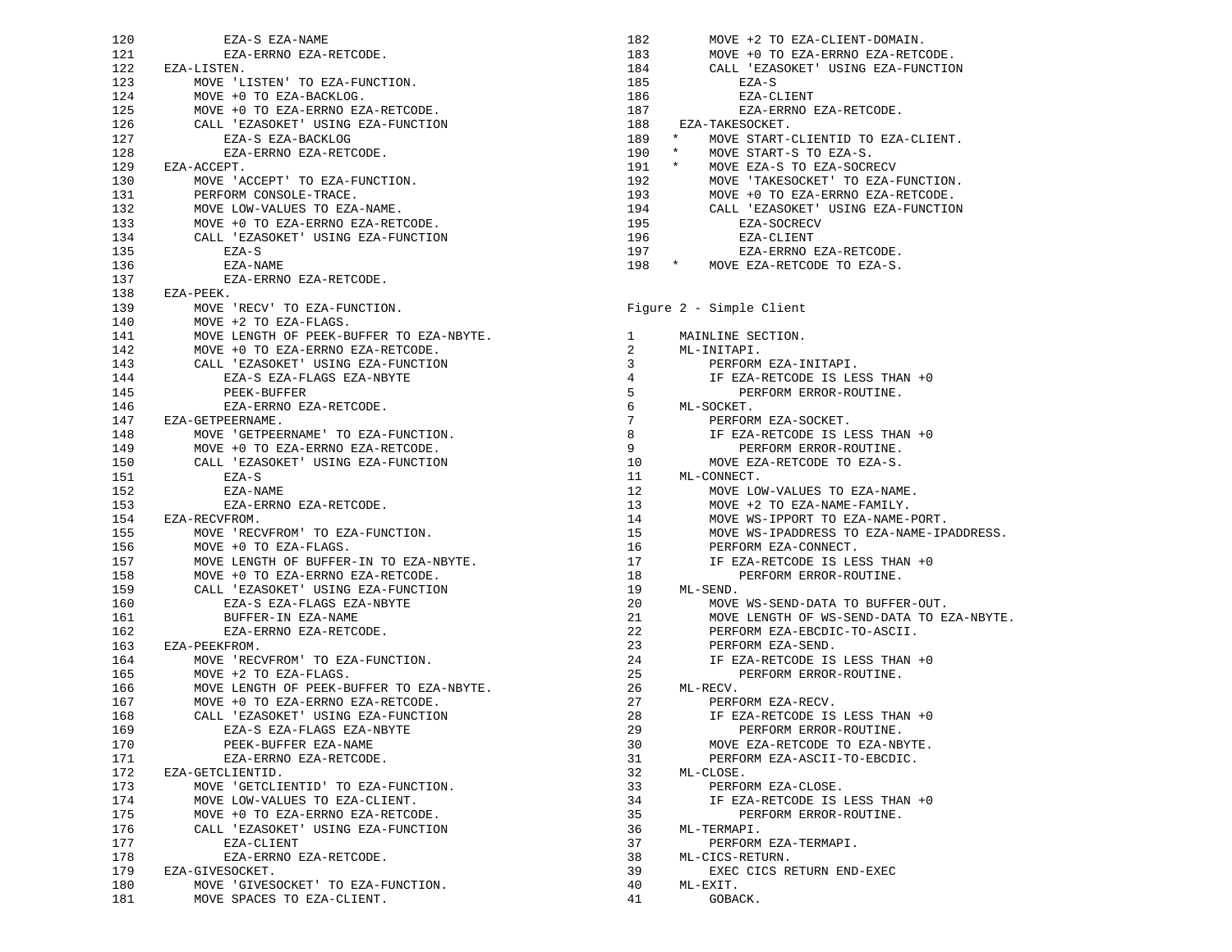| 120 | EZA-S EZA-NAME                           |
|-----|------------------------------------------|
| 121 | EZA-ERRNO EZA-RETCODE.                   |
|     |                                          |
| 122 | EZA-LISTEN.                              |
| 123 | MOVE 'LISTEN' TO EZA-FUNCTION.           |
| 124 | MOVE +0 TO EZA-BACKLOG.                  |
| 125 | MOVE +0 TO EZA-ERRNO EZA-RETCODE.        |
| 126 | CALL 'EZASOKET' USING EZA-FUNCTION       |
| 127 | EZA-S EZA-BACKLOG                        |
| 128 | EZA-ERRNO EZA-RETCODE.                   |
| 129 | EZA-ACCEPT.                              |
| 130 | MOVE 'ACCEPT' TO EZA-FUNCTION.           |
| 131 | PERFORM CONSOLE-TRACE.                   |
| 132 | MOVE LOW-VALUES TO EZA-NAME.             |
| 133 | MOVE +0 TO EZA-ERRNO EZA-RETCODE.        |
| 134 | CALL 'EZASOKET' USING EZA-FUNCTION       |
|     | EZA-S                                    |
| 135 |                                          |
| 136 | EZA-NAME                                 |
| 137 | EZA-ERRNO EZA-RETCODE.                   |
| 138 | EZA-PEEK.                                |
| 139 | MOVE 'RECV' TO EZA-FUNCTION.             |
| 140 | MOVE +2 TO EZA-FLAGS.                    |
| 141 | MOVE LENGTH OF PEEK-BUFFER TO EZA-NBYTE. |
| 142 | MOVE +0 TO EZA-ERRNO EZA-RETCODE.        |
| 143 | CALL 'EZASOKET' USING EZA-FUNCTION       |
| 144 | EZA-S EZA-FLAGS EZA-NBYTE                |
| 145 | PEEK-BUFFER                              |
| 146 | EZA-ERRNO EZA-RETCODE.                   |
| 147 | EZA-GETPEERNAME.                         |
| 148 | MOVE 'GETPEERNAME' TO EZA-FUNCTION.      |
| 149 | MOVE +0 TO EZA-ERRNO EZA-RETCODE.        |
| 150 | CALL 'EZASOKET' USING EZA-FUNCTION       |
| 151 | EZA-S                                    |
|     |                                          |
| 152 | EZA-NAME                                 |
| 153 | EZA-ERRNO EZA-RETCODE.                   |
|     | 154 EZA-RECVFROM.                        |
| 155 | MOVE 'RECVFROM' TO EZA-FUNCTION.         |
| 156 | MOVE +0 TO EZA-FLAGS.                    |
| 157 | MOVE LENGTH OF BUFFER-IN TO EZA-NBYTE.   |
| 158 | MOVE +0 TO EZA-ERRNO EZA-RETCODE.        |
| 159 | CALL 'EZASOKET' USING EZA-FUNCTION       |
| 160 | EZA-S EZA-FLAGS EZA-NBYTE                |
| 161 | BUFFER-IN EZA-NAME                       |
| 162 | EZA-ERRNO EZA-RETCODE.                   |
| 163 | EZA-PEEKFROM.                            |
| 164 | MOVE 'RECVFROM' TO EZA-FUNCTION.         |
| 165 | MOVE +2 TO EZA-FLAGS.                    |
| 166 | MOVE LENGTH OF PEEK-BUFFER TO EZA-NBYTE. |
| 167 | MOVE +0 TO EZA-ERRNO EZA-RETCODE.        |
| 168 | CALL 'EZASOKET' USING EZA-FUNCTION       |
| 169 | EZA-S EZA-FLAGS EZA-NBYTE                |
| 170 | PEEK-BUFFER EZA-NAME                     |
| 171 | EZA-ERRNO EZA-RETCODE.                   |
|     |                                          |
| 172 | EZA-GETCLIENTID.                         |
| 173 | MOVE 'GETCLIENTID' TO EZA-FUNCTION.      |
| 174 | MOVE LOW-VALUES TO EZA-CLIENT.           |
| 175 | MOVE +0 TO EZA-ERRNO EZA-RETCODE.        |
| 176 | CALL 'EZASOKET' USING EZA-FUNCTION       |
| 177 | EZA-CLIENT                               |
| 178 | EZA-ERRNO EZA-RETCODE.                   |
| 179 | EZA-GIVESOCKET.                          |
| 180 | MOVE 'GIVESOCKET' TO EZA-FUNCTION.       |
| 181 | MOVE SPACES TO EZA-CLIENT.               |

| 182            | MOVE +2 TO EZA-CLIENT-DOMAIN.                 |  |  |  |  |  |
|----------------|-----------------------------------------------|--|--|--|--|--|
| 183            | MOVE +0 TO EZA-ERRNO EZA-RETCODE.             |  |  |  |  |  |
| 184            | CALL 'EZASOKET' USING EZA-FUNCTION            |  |  |  |  |  |
| 185            | EZA-S                                         |  |  |  |  |  |
| 186            | EZA-CLIENT                                    |  |  |  |  |  |
| 187            | EZA-ERRNO EZA-RETCODE.                        |  |  |  |  |  |
| 188            | EZA-TAKESOCKET.                               |  |  |  |  |  |
| 189            | $\star$<br>MOVE START-CLIENTID TO EZA-CLIENT. |  |  |  |  |  |
| 190            | MOVE START-S TO EZA-S.<br>$\star$             |  |  |  |  |  |
| $191$ *        | MOVE EZA-S TO EZA-SOCRECV                     |  |  |  |  |  |
| 192            | MOVE 'TAKESOCKET' TO EZA-FUNCTION.            |  |  |  |  |  |
| 193            | MOVE +0 TO EZA-ERRNO EZA-RETCODE.             |  |  |  |  |  |
| 194            | CALL 'EZASOKET' USING EZA-FUNCTION            |  |  |  |  |  |
| 195            | EZA-SOCRECV                                   |  |  |  |  |  |
| 196            | EZA-CLIENT                                    |  |  |  |  |  |
| 197            | EZA-ERRNO EZA-RETCODE.                        |  |  |  |  |  |
| 198 *          | MOVE EZA-RETCODE TO EZA-S.                    |  |  |  |  |  |
|                |                                               |  |  |  |  |  |
|                |                                               |  |  |  |  |  |
|                | Figure 2 - Simple Client                      |  |  |  |  |  |
|                |                                               |  |  |  |  |  |
| 1              | MAINLINE SECTION.                             |  |  |  |  |  |
| $\overline{2}$ | ML-INITAPI.                                   |  |  |  |  |  |
| 3              | PERFORM EZA-INITAPI.                          |  |  |  |  |  |
| 4              | IF EZA-RETCODE IS LESS THAN +0                |  |  |  |  |  |
| 5              | PERFORM ERROR-ROUTINE.                        |  |  |  |  |  |
| 6              | ML-SOCKET.                                    |  |  |  |  |  |
| 7              | PERFORM EZA-SOCKET.                           |  |  |  |  |  |
| 8              | IF EZA-RETCODE IS LESS THAN +0                |  |  |  |  |  |
| 9              | PERFORM ERROR-ROUTINE.                        |  |  |  |  |  |
| 10             | MOVE EZA-RETCODE TO EZA-S.                    |  |  |  |  |  |
| 11             | ML-CONNECT.                                   |  |  |  |  |  |
| 12             | MOVE LOW-VALUES TO EZA-NAME.                  |  |  |  |  |  |
| 13             | MOVE +2 TO EZA-NAME-FAMILY.                   |  |  |  |  |  |
| 14             | MOVE WS-IPPORT TO EZA-NAME-PORT.              |  |  |  |  |  |
| 15             | MOVE WS-IPADDRESS TO EZA-NAME-IPADDRESS.      |  |  |  |  |  |
| 16             | PERFORM EZA-CONNECT.                          |  |  |  |  |  |
| 17             | IF EZA-RETCODE IS LESS THAN +0                |  |  |  |  |  |
| 18             | PERFORM ERROR-ROUTINE.                        |  |  |  |  |  |
| 19             | ML-SEND.                                      |  |  |  |  |  |
| 20             | MOVE WS-SEND-DATA TO BUFFER-OUT.              |  |  |  |  |  |
| 21             | MOVE LENGTH OF WS-SEND-DATA TO EZA-NBYTE.     |  |  |  |  |  |
| 22             | PERFORM EZA-EBCDIC-TO-ASCII.                  |  |  |  |  |  |
| 23             | PERFORM EZA-SEND.                             |  |  |  |  |  |
| 24             | IF EZA-RETCODE IS LESS THAN +0                |  |  |  |  |  |
| 25             | PERFORM ERROR-ROUTINE.                        |  |  |  |  |  |
| 26             | ML-RECV.                                      |  |  |  |  |  |
| 27             | PERFORM EZA-RECV.                             |  |  |  |  |  |
| 28             | IF EZA-RETCODE IS LESS THAN +0                |  |  |  |  |  |
| 29             | PERFORM ERROR-ROUTINE.                        |  |  |  |  |  |
| 30             | MOVE EZA-RETCODE TO EZA-NBYTE.                |  |  |  |  |  |
| 31             | PERFORM EZA-ASCII-TO-EBCDIC.                  |  |  |  |  |  |
| 32             | ML-CLOSE.                                     |  |  |  |  |  |
| 33             | PERFORM EZA-CLOSE.                            |  |  |  |  |  |
| 34             | IF EZA-RETCODE IS LESS THAN +0                |  |  |  |  |  |
| 35             | PERFORM ERROR-ROUTINE.                        |  |  |  |  |  |
| 36             | ML-TERMAPI.                                   |  |  |  |  |  |
| 37             | PERFORM EZA-TERMAPI.                          |  |  |  |  |  |
| 38             | ML-CICS-RETURN.                               |  |  |  |  |  |
| 39             | EXEC CICS RETURN END-EXEC                     |  |  |  |  |  |
| 40             | ML-EXIT.                                      |  |  |  |  |  |
| 41             | GOBACK.                                       |  |  |  |  |  |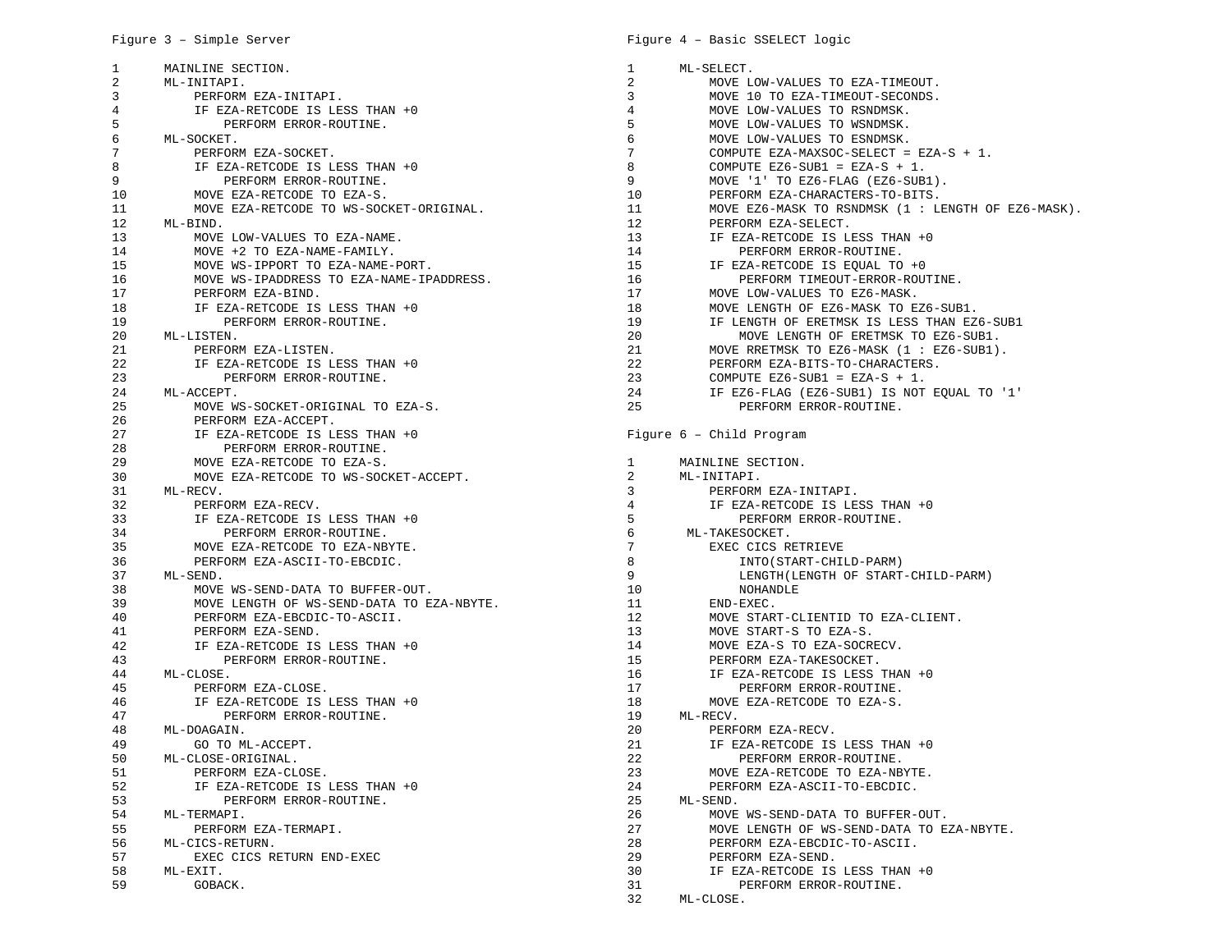| 1  | MAINLINE SECTION.                         | $\mathbf{1}$    | ML-SELECT.                                            |
|----|-------------------------------------------|-----------------|-------------------------------------------------------|
| 2  | ML-INITAPI.                               | $\overline{2}$  | MOVE LOW-VALUES TO EZA-TIMEOUT.                       |
| 3  | PERFORM EZA-INITAPI.                      | 3               | MOVE 10 TO EZA-TIMEOUT-SECONDS.                       |
| 4  | IF EZA-RETCODE IS LESS THAN +0            | 4               | MOVE LOW-VALUES TO RSNDMSK.                           |
| 5  | PERFORM ERROR-ROUTINE.                    | 5               | MOVE LOW-VALUES TO WSNDMSK.                           |
| 6  | ML-SOCKET.                                | 6               | MOVE LOW-VALUES TO ESNDMSK.                           |
| 7  | PERFORM EZA-SOCKET.                       | 7               | COMPUTE EZA-MAXSOC-SELECT = EZA-S + 1.                |
| 8  | IF EZA-RETCODE IS LESS THAN +0            | 8               | COMPUTE EZ6-SUB1 = EZA-S + 1.                         |
| 9  | PERFORM ERROR-ROUTINE.                    | 9               | MOVE '1' TO EZ6-FLAG (EZ6-SUB1).                      |
| 10 | MOVE EZA-RETCODE TO EZA-S.                | 10              | PERFORM EZA-CHARACTERS-TO-BITS.                       |
| 11 | MOVE EZA-RETCODE TO WS-SOCKET-ORIGINAL.   | 11              | MOVE EZ6-MASK TO RSNDMSK $(1 : LENGTH OF EZ6-MASK)$ . |
| 12 | ML-BIND.                                  | 12              | PERFORM EZA-SELECT.                                   |
| 13 | MOVE LOW-VALUES TO EZA-NAME.              | 13              | IF EZA-RETCODE IS LESS THAN +0                        |
| 14 | MOVE +2 TO EZA-NAME-FAMILY.               | 14              | PERFORM ERROR-ROUTINE.                                |
| 15 | MOVE WS-IPPORT TO EZA-NAME-PORT.          | 15              | IF EZA-RETCODE IS EQUAL TO +0                         |
| 16 | MOVE WS-IPADDRESS TO EZA-NAME-IPADDRESS.  | 16              | PERFORM TIMEOUT-ERROR-ROUTINE.                        |
| 17 | PERFORM EZA-BIND.                         | 17              | MOVE LOW-VALUES TO EZ6-MASK.                          |
| 18 | IF EZA-RETCODE IS LESS THAN +0            | 18              | MOVE LENGTH OF EZ6-MASK TO EZ6-SUB1.                  |
| 19 | PERFORM ERROR-ROUTINE.                    | 19              | IF LENGTH OF ERETMSK IS LESS THAN EZ6-SUB1            |
| 20 | ML-LISTEN.                                | 20              | MOVE LENGTH OF ERETMSK TO EZ6-SUB1.                   |
| 21 | PERFORM EZA-LISTEN.                       | 21              | MOVE RRETMSK TO EZ6-MASK (1 : EZ6-SUB1).              |
| 22 | IF EZA-RETCODE IS LESS THAN +0            | 22              | PERFORM EZA-BITS-TO-CHARACTERS.                       |
| 23 | PERFORM ERROR-ROUTINE.                    | 23              | COMPUTE EZ6-SUB1 = EZA-S + 1.                         |
| 24 | ML-ACCEPT.                                | 24              | IF EZ6-FLAG (EZ6-SUB1) IS NOT EQUAL TO '1'            |
| 25 | MOVE WS-SOCKET-ORIGINAL TO EZA-S.         | 25              | PERFORM ERROR-ROUTINE.                                |
| 26 | PERFORM EZA-ACCEPT.                       |                 |                                                       |
| 27 | IF EZA-RETCODE IS LESS THAN +0            |                 | Figure 6 - Child Program                              |
| 28 | PERFORM ERROR-ROUTINE.                    |                 |                                                       |
| 29 | MOVE EZA-RETCODE TO EZA-S.                | 1               | MAINLINE SECTION.                                     |
| 30 | MOVE EZA-RETCODE TO WS-SOCKET-ACCEPT.     | 2               | ML-INITAPI.                                           |
| 31 | ML-RECV.                                  | 3               | PERFORM EZA-INITAPI.                                  |
| 32 | PERFORM EZA-RECV.                         | 4               | IF EZA-RETCODE IS LESS THAN +0                        |
| 33 | IF EZA-RETCODE IS LESS THAN +0            | 5               | PERFORM ERROR-ROUTINE.                                |
| 34 | PERFORM ERROR-ROUTINE.                    | 6               | ML-TAKESOCKET.                                        |
| 35 | MOVE EZA-RETCODE TO EZA-NBYTE.            | $7\phantom{.0}$ | EXEC CICS RETRIEVE                                    |
| 36 | PERFORM EZA-ASCII-TO-EBCDIC.              | 8               | INTO (START-CHILD-PARM)                               |
| 37 | ML-SEND.                                  | 9               | LENGTH (LENGTH OF START-CHILD-PARM)                   |
| 38 | MOVE WS-SEND-DATA TO BUFFER-OUT.          | 10              | NOHANDLE                                              |
| 39 | MOVE LENGTH OF WS-SEND-DATA TO EZA-NBYTE. | 11              | END-EXEC.                                             |
| 40 | PERFORM EZA-EBCDIC-TO-ASCII.              | 12              | MOVE START-CLIENTID TO EZA-CLIENT.                    |
| 41 | PERFORM EZA-SEND.                         | 13              | MOVE START-S TO EZA-S.                                |
| 42 | IF EZA-RETCODE IS LESS THAN +0            | 14              | MOVE EZA-S TO EZA-SOCRECV.                            |
| 43 | PERFORM ERROR-ROUTINE.                    | 15              | PERFORM EZA-TAKESOCKET.                               |
| 44 | ML-CLOSE.                                 | 16              | IF EZA-RETCODE IS LESS THAN +0                        |
| 45 | PERFORM EZA-CLOSE.                        | 17              | PERFORM ERROR-ROUTINE.                                |
| 46 | IF EZA-RETCODE IS LESS THAN +0            | 18              | MOVE EZA-RETCODE TO EZA-S.                            |
| 47 | PERFORM ERROR-ROUTINE.                    | 19              | ML-RECV.                                              |
| 48 | ML-DOAGAIN.                               | 20              | PERFORM EZA-RECV.                                     |
| 49 | GO TO ML-ACCEPT.                          | 21              | IF EZA-RETCODE IS LESS THAN +0                        |
| 50 | ML-CLOSE-ORIGINAL.                        | 22              | PERFORM ERROR-ROUTINE.                                |
| 51 | PERFORM EZA-CLOSE.                        | 23              | MOVE EZA-RETCODE TO EZA-NBYTE.                        |
| 52 | IF EZA-RETCODE IS LESS THAN +0            | 24              | PERFORM EZA-ASCII-TO-EBCDIC.                          |
| 53 | PERFORM ERROR-ROUTINE.                    | 25              | ML-SEND.                                              |
| 54 | ML-TERMAPI.                               | 26              | MOVE WS-SEND-DATA TO BUFFER-OUT.                      |
| 55 | PERFORM EZA-TERMAPI.                      | 27              | MOVE LENGTH OF WS-SEND-DATA TO EZA-NBYTE.             |
| 56 | ML-CICS-RETURN.                           | 28              | PERFORM EZA-EBCDIC-TO-ASCII.                          |
| 57 | EXEC CICS RETURN END-EXEC                 | 29              | PERFORM EZA-SEND.                                     |
| 58 | ML-EXIT.                                  | 30              | IF EZA-RETCODE IS LESS THAN +0                        |
| 59 | GOBACK.                                   | 31              | PERFORM ERROR-ROUTINE.                                |
|    |                                           | 32              | ML-CLOSE.                                             |
|    |                                           |                 |                                                       |

## Figure 4 – Basic SSELECT logic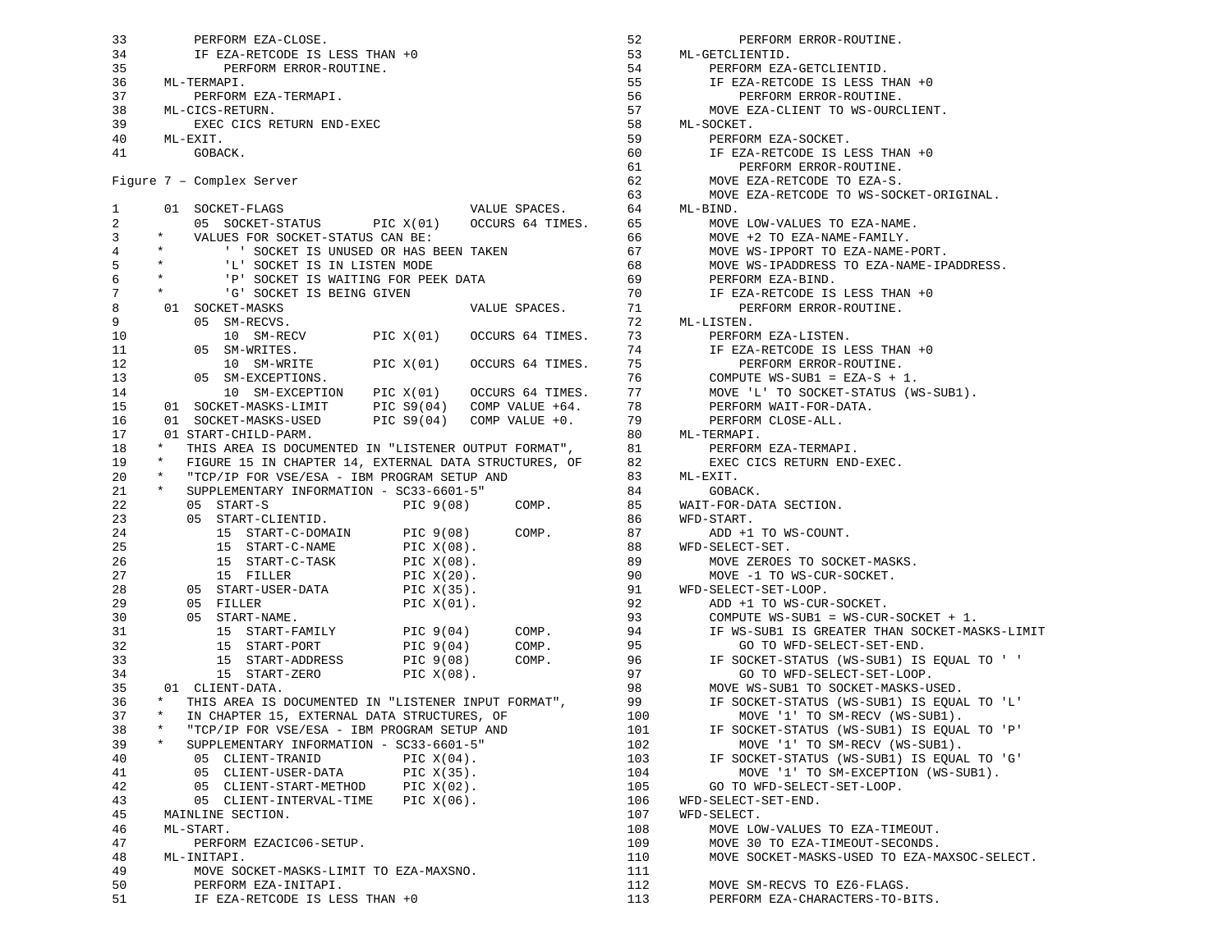33 PERFORM EZA-CLOSE. 34 IF EZA-RETCODE IS LESS THAN +0 35 PERFORM ERROR-ROUTINE. 36 ML-TERMAPI. 37 PERFORM EZA-TERMAPI. 38 ML-CICS-RETURN. 39 EXEC CICS RETURN END-EXEC 40 ML-EXIT. 41 GOBACK. Figure 7 – Complex Server 1 01 SOCKET-FLAGS VALUE SPACES. 2 05 SOCKET-STATUS PIC X(01) OCCURS 64 TIMES. 65 MOVE LOW-VALUES TO EZA-NAME. 3 \* VALUES FOR SOCKET-STATUS CAN BE: 4 \* ' ' SOCKET IS UNUSED OR HAS BEEN TAKEN 5 \* 'L' SOCKET IS IN LISTEN MODE 6 \* 'P' SOCKET IS WAITING FOR PEEK DATA 7 \* G' SOCKET IS BEING GIVEN 8 01 SOCKET-MASKS VALUE SPACES. 9 05 SM-RECVS. 10 10 SM-RECV PIC X(01) OCCURS 64 TIMES. 11 05 SM-WRITES. 12 10 SM-WRITE PIC X(01) OCCURS 64 TIMES. 13 05 SM-EXCEPTIONS. 14 10 SM-EXCEPTION PIC X(01) OCCURS 64 TIMES. 15 01 SOCKET-MASKS-LIMIT PIC S9(04) COMP VALUE +64. 16 01 SOCKET-MASKS-USED PIC S9(04) COMP VALUE +0. 17 01 START-CHILD-PARM. 18 \* THIS AREA IS DOCUMENTED IN "LISTENER OUTPUT FORMAT", 19 \* FIGURE 15 IN CHAPTER 14, EXTERNAL DATA STRUCTURES, OF 20 \* "TCP/IP FOR VSE/ESA - IBM PROGRAM SETUP AND 21 \* SUPPLEMENTARY INFORMATION - SC33-6601-5" 22 05 START-S PIC 9(08) COMP. 23 05 START-CLIENTID. 24 15 START-C-DOMAIN PIC 9(08) COMP. 25 15 START-C-NAME PIC X(08). 26 15 START-C-TASK PIC X(08). 27 15 FILLER PIC X(20). 28 05 START-USER-DATA PIC X(35). 29 05 FILLER PIC X(01). 30 05 START-NAME. 31 15 START-FAMILY PIC 9(04) COMP. 32 15 START-PORT PIC 9(04) COMP. 33 15 START-ADDRESS PIC 9(08) COMP. 34 15 START-ZERO PIC X(08). 35 01 CLIENT-DATA. 36 \* THIS AREA IS DOCUMENTED IN "LISTENER INPUT FORMAT", 37 \* IN CHAPTER 15, EXTERNAL DATA STRUCTURES, OF 38 \* "TCP/IP FOR VSE/ESA - IBM PROGRAM SETUP AND 39 \* SUPPLEMENTARY INFORMATION - SC33-6601-5" 40 05 CLIENT-TRANID PIC X(04). 41 05 CLIENT-USER-DATA PIC X(35). 42 05 CLIENT-START-METHOD PIC X(02). 43 05 CLIENT-INTERVAL-TIME PIC X(06). 45 MAINLINE SECTION. 46 ML-START. 47 PERFORM EZACIC06-SETUP. 48 ML-INITAPI. 49 MOVE SOCKET-MASKS-LIMIT TO EZA-MAXSNO. 50 PERFORM EZA-INITAPI. 51 IF EZA-RETCODE IS LESS THAN +0 VALUE SPACES. 64 ML-BIND.

52 PERFORM ERROR-ROUTINE. 53 ML-GETCLIENTID. 54 PERFORM EZA-GETCLIENTID. 55 IF EZA-RETCODE IS LESS THAN +0 56 PERFORM ERROR-ROUTINE. 57 MOVE EZA-CLIENT TO WS-OURCLIENT. 58 ML-SOCKET. 59 PERFORM EZA-SOCKET. 60 IF EZA-RETCODE IS LESS THAN +0 61 PERFORM ERROR-ROUTINE. 62 MOVE EZA-RETCODE TO EZA-S. 63 MOVE EZA-RETCODE TO WS-SOCKET-ORIGINAL. 66 MOVE +2 TO EZA-NAME-FAMILY. 67 MOVE WS-IPPORT TO EZA-NAME-PORT. 68 MOVE WS-IPADDRESS TO EZA-NAME-IPADDRESS. 69 PERFORM EZA-BIND. 70 IF EZA-RETCODE IS LESS THAN +0 71 PERFORM ERROR-ROUTINE. 72 ML-LISTEN. 73 PERFORM EZA-LISTEN. 74 IF EZA-RETCODE IS LESS THAN +0 PERFORM ERROR-ROUTINE. 76 COMPUTE WS-SUB1 = EZA-S + 1. 77 MOVE 'L' TO SOCKET-STATUS (WS-SUB1). 78 PERFORM WAIT-FOR-DATA. PERFORM CLOSE-ALL. 80 ML-TERMAPI. 81 PERFORM EZA-TERMAPI. 82 EXEC CICS RETURN END-EXEC. 83 ML-EXIT. 84 GOBACK. 85 WAIT-FOR-DATA SECTION. 86 WFD-START. 87 ADD +1 TO WS-COUNT. 88 WFD-SELECT-SET. 89 MOVE ZEROES TO SOCKET-MASKS. 90 MOVE -1 TO WS-CUR-SOCKET. 91 WFD-SELECT-SET-LOOP. 92 ADD +1 TO WS-CUR-SOCKET. 93 COMPUTE WS-SUB1 = WS-CUR-SOCKET + 1.<br>
94 IF WS-SUB1 IS GREATER THAN SOCKET-MA<br>
95 GO TO WFD-SELECT-SET-END.<br>
96 IF SOCKET-STATUS (WS-SUB1) IS EQUAL<br>
97 GO TO WFD-SELECT-SET-LOOP. 94 IF WS-SUB1 IS GREATER THAN SOCKET-MASKS-LIMIT 95 GO TO WFD-SELECT-SET-END. 96 IF SOCKET-STATUS (WS-SUB1) IS EQUAL TO ' ' 97 GO TO WFD-SELECT-SET-LOOP. 98 MOVE WS-SUB1 TO SOCKET-MASKS-USED. 99 IF SOCKET-STATUS (WS-SUB1) IS EQUAL TO 'L' 100 MOVE '1' TO SM-RECV (WS-SUB1). 101 IF SOCKET-STATUS (WS-SUB1) IS EQUAL TO 'P' 102 MOVE '1 TO SM-RECV (WS-SUB1).<br>103 IF SOCKET-STATUS (WS-SUB1) IS EQUA:<br>104 MOVE '1' TO SM-EXCEPTION (WS-SI<br>105 GO TO WFD-SELECT-SET-LOOP.<br>106 WFD-SELECT-SET-END. 103 IF SOCKET-STATUS (WS-SUB1) IS EQUAL TO 'G' MOVE '1' TO SM-EXCEPTION (WS-SUB1). 105 GO TO WFD-SELECT-SET-LOOP. 106 WFD-SELECT-SET-END. 107 WFD-SELECT. 108 MOVE LOW-VALUES TO EZA-TIMEOUT. 109 MOVE 30 TO EZA-TIMEOUT-SECONDS. 110 MOVE SOCKET-MASKS-USED TO EZA-MAXSOC-SELECT. 111 112 MOVE SM-RECVS TO EZ6-FLAGS. 113 PERFORM EZA-CHARACTERS-TO-BITS.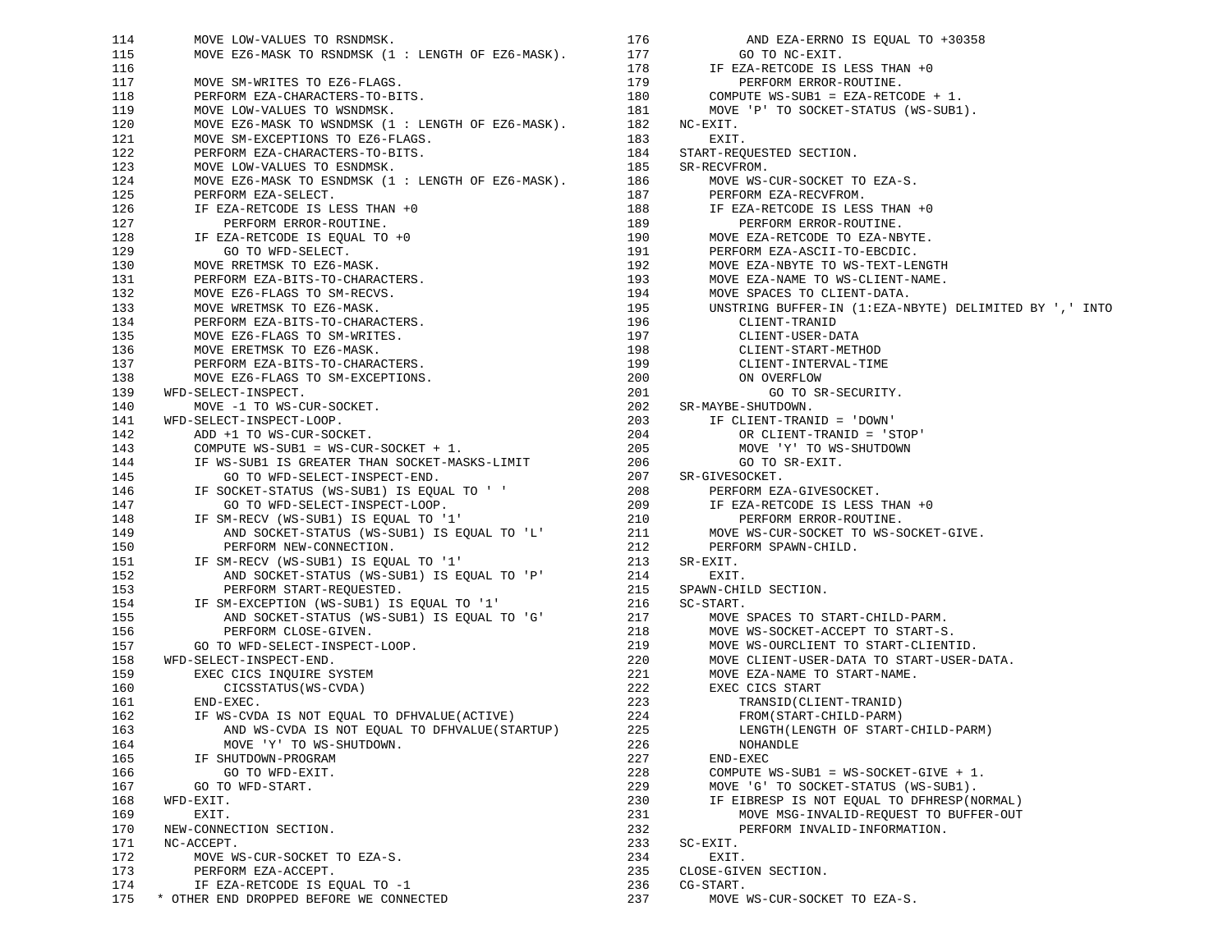114 MOVE LOW-VALUES TO RSNDMSK. 115 MOVE EZ6-MASK TO RSNDMSK (1 : LENGTH OF EZ6-MASK). 116 117 117 MOVE SM-WRITES TO EZ6-FLAGS. 118 PERFORM EZA-CHARACTERS-TO-BITS. 119 MOVE LOW-VALUES TO WSNDMSK. 120 MOVE EZ6-MASK TO WSNDMSK (1 : LENGTH OF EZ6-MASK). 182 NC-EXIT. 121 MOVE SM-EXCEPTIONS TO EZ6-FLAGS. 122 PERFORM EZA-CHARACTERS-TO-BITS. 123 MOVE LOW-VALUES TO ESNDMSK. 124 MOVE EZ6-MASK TO ESNDMSK (1 : LENGTH OF EZ6-MASK). 125 PERFORM EZA-SELECT. 126 IF EZA-RETCODE IS LESS THAN +0 127 **PERFORM ERROR-ROUTINE.**  128 IF EZA-RETCODE IS EQUAL TO +0 129 GO TO WFD-SELECT. 130 MOVE RRETMSK TO EZ6-MASK. 131 PERFORM EZA-BITS-TO-CHARACTERS. 132 MOVE EZ6-FLAGS TO SM-RECVS. 133 MOVE WRETMSK TO EZ6-MASK. 134 PERFORM EZA-BITS-TO-CHARACTERS. 135 MOVE EZ6-FLAGS TO SM-WRITES. 136 MOVE ERETMSK TO EZ6-MASK. 137 PERFORM EZA-BITS-TO-CHARACTERS. 138 MOVE EZ6-FLAGS TO SM-EXCEPTIONS. 139 WFD-SELECT-INSPECT. 140 MOVE -1 TO WS-CUR-SOCKET. 141 WFD-SELECT-INSPECT-LOOP. 142 ADD +1 TO WS-CUR-SOCKET. 143 COMPUTE WS-SUB1 = WS-CUR-SOCKET + 1. 144 IF WS-SUB1 IS GREATER THAN SOCKET-MASKS-LIMIT 145 GO TO WFD-SELECT-INSPECT-END. 146 IF SOCKET-STATUS (WS-SUB1) IS EQUAL TO ' ' 147 GO TO WFD-SELECT-INSPECT-LOOP. GO TO WFD-SELECT-INSPECT-LOOP. 148 IF SM-RECV (WS-SUB1) IS EQUAL TO '1' 149 AND SOCKET-STATUS (WS-SUB1) IS EQUAL TO 'L' 150 PERFORM NEW-CONNECTION. 151 IF SM-RECV (WS-SUB1) IS EQUAL TO '1' 152 AND SOCKET-STATUS (WS-SUB1) IS EQUAL TO 'P' 153 PERFORM START-REQUESTED. 154 IF SM-EXCEPTION (WS-SUB1) IS EQUAL TO '1' 155 AND SOCKET-STATUS (WS-SUB1) IS EQUAL TO 'G' 156 PERFORM CLOSE-GIVEN. 157 GO TO WFD-SELECT-INSPECT-LOOP. 158 WFD-SELECT-INSPECT-END. 159 EXEC CICS INQUIRE SYSTEM 160 CICSSTATUS(WS-CVDA) 161 END-EXEC. IF WS-CVDA IS NOT EOUAL TO DFHVALUE(ACTIVE) 163 AND WS-CVDA IS NOT EQUAL TO DFHVALUE(STARTUP) 164 MOVE 'Y' TO WS-SHUTDOWN. 165 IF SHUTDOWN-PROGRAM 166 GO TO WFD-EXIT. 167 GO TO WFD-START. 168 WFD-EXIT. 169 EXIT. 170 NEW-CONNECTION SECTION. 171 NC-ACCEPT. 172 MOVE WS-CUR-SOCKET TO EZA-S. 173 PERFORM EZA-ACCEPT. 174 IF EZA-RETCODE IS EQUAL TO -1 175 \* OTHER END DROPPED BEFORE WE CONNECTED

176 AND EZA-ERRNO IS EQUAL TO +30358 177 GO TO NC-EXIT. 178 IF EZA-RETCODE IS LESS THAN +0 179 PERFORM ERROR-ROUTINE. 180 COMPUTE WS-SUB1 = EZA-RETCODE + 1. 181 MOVE 'P' TO SOCKET-STATUS (WS-SUB1). 183 EXIT. 184 START-REQUESTED SECTION. 185 SR-RECVFROM. 186 MOVE WS-CUR-SOCKET TO EZA-S. 187 PERFORM EZA-RECVFROM. 188 IF EZA-RETCODE IS LESS THAN +0 189 PERFORM ERROR-ROUTINE. 190 MOVE EZA-RETCODE TO EZA-NBYTE. 191 PERFORM EZA-ASCII-TO-EBCDIC. 192 MOVE EZA-NBYTE TO WS-TEXT-LENGTH 193 MOVE EZA-NAME TO WS-CLIENT-NAME. 194 MOVE SPACES TO CLIENT-DATA. 195 UNSTRING BUFFER-IN (1:EZA-NBYTE) DELIMITED BY ',' INTO 196 CLIENT-TRANID 197 CLIENT-USER-DATA 198 CLIENT-START-METHOD 199 CLIENT-INTERVAL-TIME 200 ON OVERFLOW 201 GO TO SR-SECURITY. 202 SR-MAYBE-SHUTDOWN. 203 IF CLIENT-TRANID = 'DOWN' 204 OR CLIENT-TRANID = 'STOP' 205 MOVE 'Y' TO WS-SHUTDOWN 206 GO TO SR-EXIT. 207 SR-GIVESOCKET. 208 PERFORM EZA-GIVESOCKET. 209 IF EZA-RETCODE IS LESS THAN +0 210 PERFORM ERROR-ROUTINE. 211 MOVE WS-CUR-SOCKET TO WS-SOCKET-GIVE. 212 PERFORM SPAWN-CHILD. 213 SR-EXIT.<br>214 EXIT EXIT. 215 SPAWN-CHILD SECTION. 216 SC-START. 217 MOVE SPACES TO START-CHILD-PARM. 218 MOVE WS-SOCKET-ACCEPT TO START-S. 219 MOVE WS-OURCLIENT TO START-CLIENTID. 220 MOVE CLIENT-USER-DATA TO START-USER-DATA. 221 MOVE EZA-NAME TO START-NAME. 222 EXEC CICS START 223 TRANSID(CLIENT-TRANID) 224 FROM(START-CHILD-PARM) 225 LENGTH(LENGTH OF START-CHILD-PARM) 226 NOHANDLE 227 END-EXEC 228 COMPUTE WS-SUB1 = WS-SOCKET-GIVE + 1. 229 MOVE 'G' TO SOCKET-STATUS (WS-SUB1). 230 IF EIBRESP IS NOT EQUAL TO DFHRESP(NORMAL) 231 MOVE MSG-INVALID-REQUEST TO BUFFER-OUT 232 PERFORM INVALID-INFORMATION. 233 SC-EXIT. 234 EXIT. 235 CLOSE-GIVEN SECTION. 236 CG-START. 237 MOVE WS-CUR-SOCKET TO EZA-S.